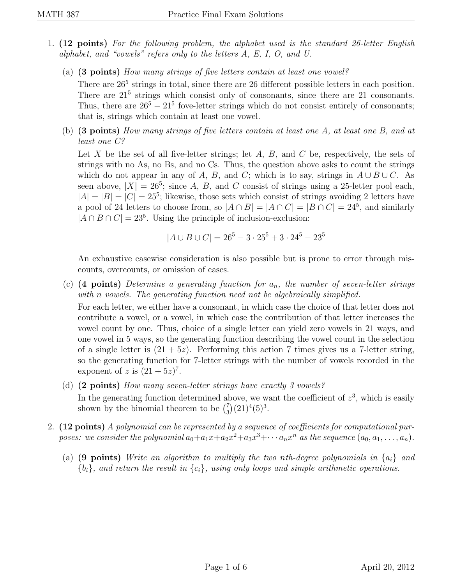- 1. (12 points) For the following problem, the alphabet used is the standard 26-letter English alphabet, and "vowels" refers only to the letters A, E, I, O, and U.
	- (a) (3 points) How many strings of five letters contain at least one vowel?

There are  $26<sup>5</sup>$  strings in total, since there are 26 different possible letters in each position. There are  $21<sup>5</sup>$  strings which consist only of consonants, since there are 21 consonants. Thus, there are  $26^5 - 21^5$  fove-letter strings which do not consist entirely of consonants; that is, strings which contain at least one vowel.

(b) (3 points) How many strings of five letters contain at least one A, at least one B, and at least one C?

Let X be the set of all five-letter strings; let  $A, B$ , and  $C$  be, respectively, the sets of strings with no As, no Bs, and no Cs. Thus, the question above asks to count the strings which do not appear in any of A, B, and C; which is to say, strings in  $\overline{A \cup B \cup C}$ . As seen above,  $|X| = 26^5$ ; since A, B, and C consist of strings using a 25-letter pool each,  $|A| = |B| = |C| = 25<sup>5</sup>$ ; likewise, those sets which consist of strings avoiding 2 letters have a pool of 24 letters to choose from, so  $|A \cap B| = |A \cap C| = |B \cap C| = 24^5$ , and similarly  $|A \cap B \cap C| = 23<sup>5</sup>$ . Using the principle of inclusion-exclusion:

$$
|\overline{A \cup B \cup C}| = 26^5 - 3 \cdot 25^5 + 3 \cdot 24^5 - 23^5
$$

An exhaustive casewise consideration is also possible but is prone to error through miscounts, overcounts, or omission of cases.

- (c) (4 points) Determine a generating function for  $a_n$ , the number of seven-letter strings with n vowels. The generating function need not be algebraically simplified. For each letter, we either have a consonant, in which case the choice of that letter does not contribute a vowel, or a vowel, in which case the contribution of that letter increases the vowel count by one. Thus, choice of a single letter can yield zero vowels in 21 ways, and one vowel in 5 ways, so the generating function describing the vowel count in the selection of a single letter is  $(21 + 5z)$ . Performing this action 7 times gives us a 7-letter string, so the generating function for 7-letter strings with the number of vowels recorded in the exponent of z is  $(21+5z)^7$ .
- (d) (2 points) How many seven-letter strings have exactly 3 vowels? In the generating function determined above, we want the coefficient of  $z^3$ , which is easily shown by the binomial theorem to be  $\binom{7}{3}$  $\binom{7}{3}(21)^4(5)^3.$
- 2. (12 points) A polynomial can be represented by a sequence of coefficients for computational purposes: we consider the polynomial  $a_0 + a_1x + a_2x^2 + a_3x^3 + \cdots + a_nx^n$  as the sequence  $(a_0, a_1, \ldots, a_n)$ .
	- (a) (9 points) Write an algorithm to multiply the two nth-degree polynomials in  $\{a_i\}$  and  ${b_i}$ , and return the result in  ${c_i}$ , using only loops and simple arithmetic operations.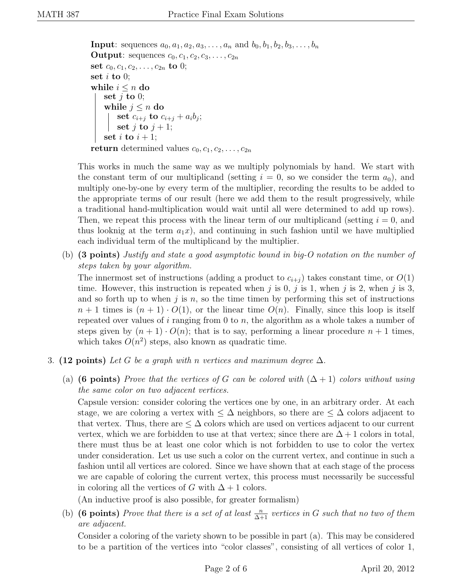**Input**: sequences  $a_0, a_1, a_2, a_3, \ldots, a_n$  and  $b_0, b_1, b_2, b_3, \ldots, b_n$ **Output:** sequences  $c_0, c_1, c_2, c_3, \ldots, c_{2n}$ set  $c_0, c_1, c_2, \ldots, c_{2n}$  to 0; set  $i$  to 0; while  $i \leq n$  do set  $j$  to 0; while  $j \leq n$  do set  $c_{i+j}$  to  $c_{i+j} + a_i b_j;$ set j to  $j + 1$ ; set i to  $i + 1$ ; return determined values  $c_0, c_1, c_2, \ldots, c_{2n}$ 

This works in much the same way as we multiply polynomials by hand. We start with the constant term of our multiplicand (setting  $i = 0$ , so we consider the term  $a_0$ ), and multiply one-by-one by every term of the multiplier, recording the results to be added to the appropriate terms of our result (here we add them to the result progressively, while a traditional hand-multiplication would wait until all were determined to add up rows). Then, we repeat this process with the linear term of our multiplicand (setting  $i = 0$ , and thus looknig at the term  $a_1x$ ), and continuing in such fashion until we have multiplied each individual term of the multiplicand by the multiplier.

(b) (3 points) Justify and state a good asymptotic bound in big-O notation on the number of steps taken by your algorithm.

The innermost set of instructions (adding a product to  $c_{i+j}$ ) takes constant time, or  $O(1)$ time. However, this instruction is repeated when j is 0, j is 1, when j is 2, when j is 3, and so forth up to when j is n, so the time timen by performing this set of instructions  $n+1$  times is  $(n+1) \cdot O(1)$ , or the linear time  $O(n)$ . Finally, since this loop is itself repeated over values of  $i$  ranging from 0 to  $n$ , the algorithm as a whole takes a number of steps given by  $(n + 1) \cdot O(n)$ ; that is to say, performing a linear procedure  $n + 1$  times, which takes  $O(n^2)$  steps, also known as quadratic time.

- 3. (12 points) Let G be a graph with n vertices and maximum degree  $\Delta$ .
	- (a) (6 points) Prove that the vertices of G can be colored with  $(\Delta + 1)$  colors without using the same color on two adjacent vertices.

Capsule version: consider coloring the vertices one by one, in an arbitrary order. At each stage, we are coloring a vertex with  $\leq \Delta$  neighbors, so there are  $\leq \Delta$  colors adjacent to that vertex. Thus, there are  $\leq \Delta$  colors which are used on vertices adjacent to our current vertex, which we are forbidden to use at that vertex; since there are  $\Delta + 1$  colors in total, there must thus be at least one color which is not forbidden to use to color the vertex under consideration. Let us use such a color on the current vertex, and continue in such a fashion until all vertices are colored. Since we have shown that at each stage of the process we are capable of coloring the current vertex, this process must necessarily be successful in coloring all the vertices of G with  $\Delta + 1$  colors.

(An inductive proof is also possible, for greater formalism)

(b) (6 points) Prove that there is a set of at least  $\frac{n}{\Delta+1}$  vertices in G such that no two of them are adjacent.

Consider a coloring of the variety shown to be possible in part (a). This may be considered to be a partition of the vertices into "color classes", consisting of all vertices of color 1,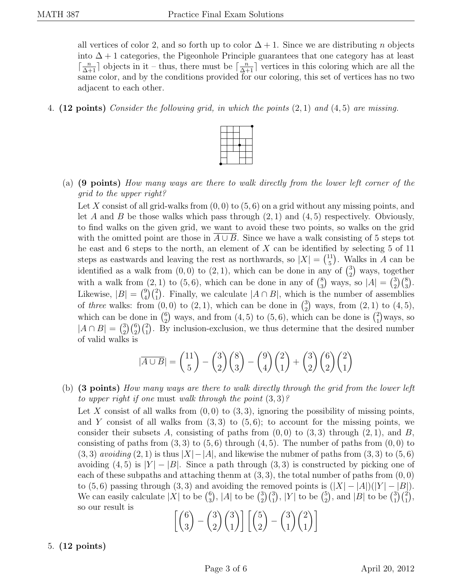all vertices of color 2, and so forth up to color  $\Delta + 1$ . Since we are distributing n objects into  $\Delta + 1$  categories, the Pigeonhole Principle guarantees that one category has at least  $\lceil \frac{n}{\Delta+1} \rceil$  objects in it – thus, there must be  $\lceil \frac{n}{\Delta+1} \rceil$  vertices in this coloring which are all the same color, and by the conditions provided for our coloring, this set of vertices has no two adjacent to each other.

4. (12 points) Consider the following grid, in which the points  $(2, 1)$  and  $(4, 5)$  are missing.



(a) (9 points) How many ways are there to walk directly from the lower left corner of the grid to the upper right?

Let X consist of all grid-walks from  $(0, 0)$  to  $(5, 6)$  on a grid without any missing points, and let A and B be those walks which pass through  $(2, 1)$  and  $(4, 5)$  respectively. Obviously, to find walks on the given grid, we want to avoid these two points, so walks on the grid with the omitted point are those in  $A \cup B$ . Since we have a walk consisting of 5 steps tot he east and 6 steps to the north, an element of  $X$  can be identified by selecting 5 of 11 steps as eastwards and leaving the rest as northwards, so  $|X| = \binom{11}{5}$  $\binom{11}{5}$ . Walks in A can be identified as a walk from  $(0,0)$  to  $(2,1)$ , which can be done in any of  $\binom{3}{2}$  $^{3}_{2}$ ) ways, together with a walk from  $(2, 1)$  to  $(5, 6)$ , which can be done in any of  $\binom{8}{3}$  $_3^8$ ) ways, so  $|A| = \binom{3}{2}$  $_{2}^{3})\binom{8}{3}.$ Likewise,  $|B| = \binom{9}{4}$  $_{4}^{9}$  $\binom{2}{1}$ . Finally, we calculate  $|A \cap B|$ , which is the number of assemblies of three walks: from  $(0,0)$  to  $(2,1)$ , which can be done in  $\binom{3}{2}$  $_{2}^{3}$ ) ways, from  $(2, 1)$  to  $(4, 5)$ , which can be done in  $\binom{6}{2}$  $_{2}^{6}$ ) ways, and from (4, 5) to (5, 6), which can be done is  $_{1}^{2}$  $_{1}^{2}$ ) ways, so  $|A \cap B| = {3 \choose 2}$  $^{3}_{2}$  $\binom{6}{2}\binom{2}{1}$ . By inclusion-exclusion, we thus determine that the desired number of valid walks is

$$
|\overline{A \cup B}| = {11 \choose 5} - {3 \choose 2}{8 \choose 3} - {9 \choose 4}{2 \choose 1} + {3 \choose 2}{6 \choose 2}{2 \choose 1}
$$

(b) (3 points) How many ways are there to walk directly through the grid from the lower left to upper right if one must walk through the point  $(3,3)$ ?

Let X consist of all walks from  $(0, 0)$  to  $(3, 3)$ , ignoring the possibility of missing points, and Y consist of all walks from  $(3,3)$  to  $(5,6)$ ; to account for the missing points, we consider their subsets A, consisting of paths from  $(0, 0)$  to  $(3, 3)$  through  $(2, 1)$ , and B, consisting of paths from  $(3,3)$  to  $(5,6)$  through  $(4,5)$ . The number of paths from  $(0,0)$  to  $(3,3)$  avoiding  $(2,1)$  is thus  $|X|-|A|$ , and likewise the nubmer of paths from  $(3,3)$  to  $(5,6)$ avoiding  $(4,5)$  is  $|Y| - |B|$ . Since a path through  $(3,3)$  is constructed by picking one of each of these subpaths and attaching thenm at  $(3, 3)$ , the total number of paths from  $(0, 0)$ to (5, 6) passing through (3, 3) and avoiding the removed points is  $(|X| - |A|)(|Y| - |B|)$ . We can easily calculate  $|X|$  to be  $\binom{6}{3}$  $_{3}^{6}), |A|$  to be  $_{2}^{(3)}$  $_{2}^{3})\binom{3}{1}, |Y|$  to be  $\binom{5}{2}$  $_2^5$ , and |B| to be  $\binom{3}{1}$  $_{1}^{3})\binom{2}{1},$ so our result is

$$
\left[\binom{6}{3} - \binom{3}{2}\binom{3}{1}\right] \left[\binom{5}{2} - \binom{3}{1}\binom{2}{1}\right]
$$

## 5. (12 points)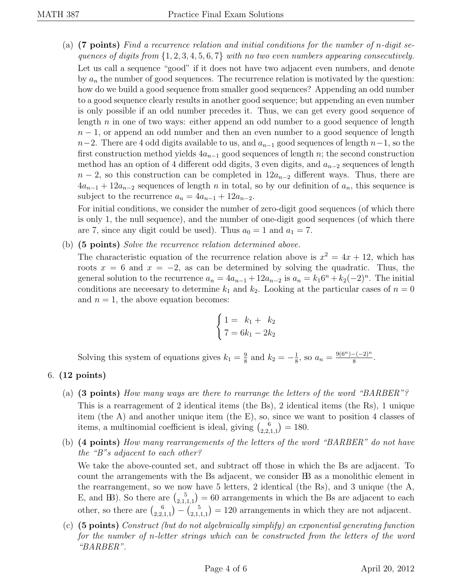(a)  $(7 \text{ points})$  Find a recurrence relation and initial conditions for the number of n-digit sequences of digits from  $\{1, 2, 3, 4, 5, 6, 7\}$  with no two even numbers appearing consecutively. Let us call a sequence "good" if it does not have two adjacent even numbers, and denote by  $a_n$  the number of good sequences. The recurrence relation is motivated by the question: how do we build a good sequence from smaller good sequences? Appending an odd number to a good sequence clearly results in another good sequence; but appending an even number is only possible if an odd number precedes it. Thus, we can get every good sequence of length  $n$  in one of two ways: either append an odd number to a good sequence of length  $n-1$ , or append an odd number and then an even number to a good sequence of length  $n-2$ . There are 4 odd digits available to us, and  $a_{n-1}$  good sequences of length  $n-1$ , so the first construction method yields  $4a_{n-1}$  good sequences of length n; the second construction method has an option of 4 different odd digits, 3 even digits, and  $a_{n-2}$  sequences of length  $n-2$ , so this construction can be completed in  $12a_{n-2}$  different ways. Thus, there are  $4a_{n-1} + 12a_{n-2}$  sequences of length n in total, so by our definition of  $a_n$ , this sequence is subject to the recurrence  $a_n = 4a_{n-1} + 12a_{n-2}$ .

For initial conditions, we consider the number of zero-digit good sequences (of which there is only 1, the null sequence), and the number of one-digit good sequences (of which there are 7, since any digit could be used). Thus  $a_0 = 1$  and  $a_1 = 7$ .

(b) (5 points) Solve the recurrence relation determined above.

The characteristic equation of the recurrence relation above is  $x^2 = 4x + 12$ , which has roots  $x = 6$  and  $x = -2$ , as can be determined by solving the quadratic. Thus, the general solution to the recurrence  $a_n = 4a_{n-1} + 12a_{n-2}$  is  $a_n = k_1 6^n + k_2 (-2)^n$ . The initial conditions are necessary to determine  $k_1$  and  $k_2$ . Looking at the particular cases of  $n = 0$ and  $n = 1$ , the above equation becomes:

$$
\begin{cases} 1 = k_1 + k_2 \\ 7 = 6k_1 - 2k_2 \end{cases}
$$

Solving this system of equations gives  $k_1 = \frac{9}{8}$  $\frac{9}{8}$  and  $k_2 = -\frac{1}{8}$  $\frac{1}{8}$ , so  $a_n = \frac{9(6^n) - (-2)^n}{8}$  $\frac{-(-2)^n}{8}$ .

## 6. (12 points)

- (a) (3 points) How many ways are there to rearrange the letters of the word "BARBER"? This is a rearragement of 2 identical items (the Bs), 2 identical items (the Rs), 1 unique item (the A) and another unique item (the E), so, since we want to position 4 classes of items, a multinomial coefficient is ideal, giving  $\binom{6}{2}$  $\binom{6}{2,2,1,1} = 180.$
- (b) (4 points) How many rearrangements of the letters of the word "BARBER" do not have the "B"s adjacent to each other?

We take the above-counted set, and subtract off those in which the Bs are adjacent. To count the arrangements with the Bs adjacent, we consider BB as a monolithic element in the rearrangement, so we now have 5 letters, 2 identical (the Rs), and 3 unique (the A, E, and B). So there are  $\binom{5}{3}$  $\binom{5}{2,1,1,1}$  = 60 arrangements in which the Bs are adjacent to each other, so there are  $\binom{6}{2}$  $\binom{6}{2,2,1,1} - \binom{5}{2,1,1}$  $\binom{5}{2,1,1,1}$  = 120 arrangements in which they are not adjacent.

(c) (5 points) Construct (but do not algebraically simplify) an exponential generating function for the number of n-letter strings which can be constructed from the letters of the word "BARBER".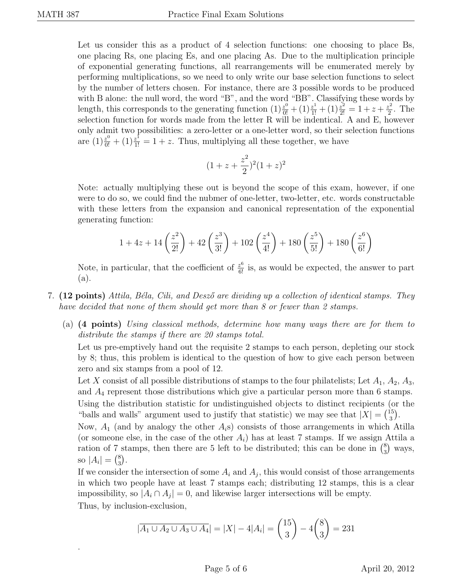.

Let us consider this as a product of 4 selection functions: one choosing to place Bs, one placing Rs, one placing Es, and one placing As. Due to the multiplication principle of exponential generating functions, all rearrangements will be enumerated merely by performing multiplications, so we need to only write our base selection functions to select by the number of letters chosen. For instance, there are 3 possible words to be produced with B alone: the null word, the word "B", and the word "BB". Classifying these words by length, this corresponds to the generating function  $(1)\frac{z^0}{0!} + (1)\frac{z^1}{1!} + (1)\frac{z^2}{2!} = 1 + z + \frac{z^2}{2}$  $\frac{z^2}{2}$ . The selection function for words made from the letter R will be indentical. A and E, however only admit two possibilities: a zero-letter or a one-letter word, so their selection functions are  $(1)\frac{z^0}{0!} + (1)\frac{z^1}{1!} = 1 + z$ . Thus, multiplying all these together, we have

$$
(1 + z + \frac{z^2}{2})^2 (1 + z)^2
$$

Note: actually multiplying these out is beyond the scope of this exam, however, if one were to do so, we could find the nubmer of one-letter, two-letter, etc. words constructable with these letters from the expansion and canonical representation of the exponential generating function:

$$
1 + 4z + 14\left(\frac{z^2}{2!}\right) + 42\left(\frac{z^3}{3!}\right) + 102\left(\frac{z^4}{4!}\right) + 180\left(\frac{z^5}{5!}\right) + 180\left(\frac{z^6}{6!}\right)
$$

Note, in particular, that the coefficient of  $\frac{z^6}{6!}$  is, as would be expected, the answer to part (a).

- 7. (12 points) Attila, Béla, Cili, and Desző are dividing up a collection of identical stamps. They have decided that none of them should get more than 8 or fewer than 2 stamps.
	- (a) (4 points) Using classical methods, determine how many ways there are for them to distribute the stamps if there are 20 stamps total.

Let us pre-emptively hand out the requisite 2 stamps to each person, depleting our stock by 8; thus, this problem is identical to the question of how to give each person between zero and six stamps from a pool of 12.

Let X consist of all possible distributions of stamps to the four philatelists; Let  $A_1, A_2, A_3$ , and  $A_4$  represent those distributions which give a particular person more than 6 stamps. Using the distribution statistic for undistinguished objects to distinct recipients (or the "balls and walls" argument used to justify that statistic) we may see that  $|X| = \binom{15}{3}$  $\binom{15}{3}$ .

Now,  $A_1$  (and by analogy the other  $A_i$ s) consists of those arrangements in which Atilla (or someone else, in the case of the other  $A_i$ ) has at least 7 stamps. If we assign Attila a ration of 7 stamps, then there are 5 left to be distributed; this can be done in  $\binom{8}{3}$  $_3^8$ ) ways, so  $|A_i| = {8 \choose 3}$  $_{3}^{8}$ .

If we consider the intersection of some  $A_i$  and  $A_j$ , this would consist of those arrangements in which two people have at least 7 stamps each; distributing 12 stamps, this is a clear impossibility, so  $|A_i \cap A_j| = 0$ , and likewise larger intersections will be empty. Thus, by inclusion-exclusion,

$$
|\overline{A_1 \cup A_2 \cup A_3 \cup A_4}| = |X| - 4|A_i| = {15 \choose 3} - 4 {8 \choose 3} = 231
$$